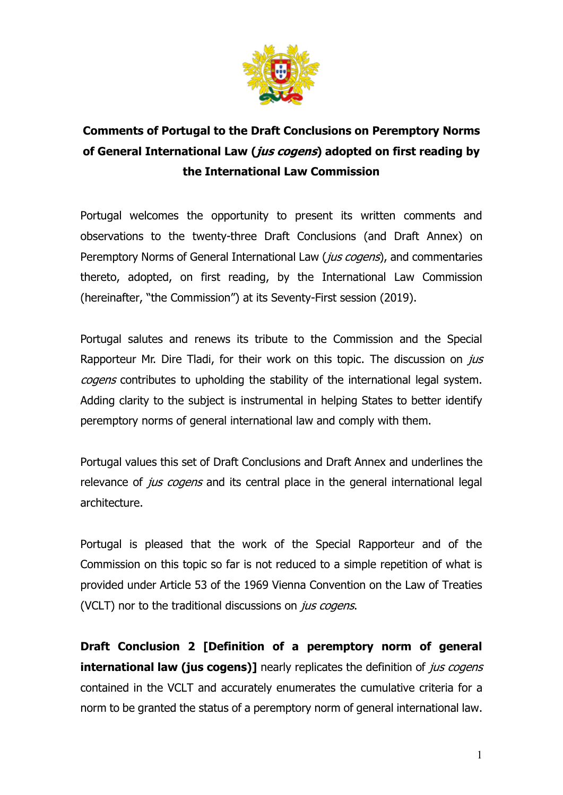

## **Comments of Portugal to the Draft Conclusions on Peremptory Norms of General International Law (jus cogens) adopted on first reading by the International Law Commission**

Portugal welcomes the opportunity to present its written comments and observations to the twenty-three Draft Conclusions (and Draft Annex) on Peremptory Norms of General International Law (*jus cogens*), and commentaries thereto, adopted, on first reading, by the International Law Commission (hereinafter, "the Commission") at its Seventy-First session (2019).

Portugal salutes and renews its tribute to the Commission and the Special Rapporteur Mr. Dire Tladi, for their work on this topic. The discussion on  $j\mu s$ cogens contributes to upholding the stability of the international legal system. Adding clarity to the subject is instrumental in helping States to better identify peremptory norms of general international law and comply with them.

Portugal values this set of Draft Conclusions and Draft Annex and underlines the relevance of *jus cogens* and its central place in the general international legal architecture.

Portugal is pleased that the work of the Special Rapporteur and of the Commission on this topic so far is not reduced to a simple repetition of what is provided under Article 53 of the 1969 Vienna Convention on the Law of Treaties (VCLT) nor to the traditional discussions on *jus cogens*.

**Draft Conclusion 2 [Definition of a peremptory norm of general international law (jus cogens)]** nearly replicates the definition of *jus cogens* contained in the VCLT and accurately enumerates the cumulative criteria for a norm to be granted the status of a peremptory norm of general international law.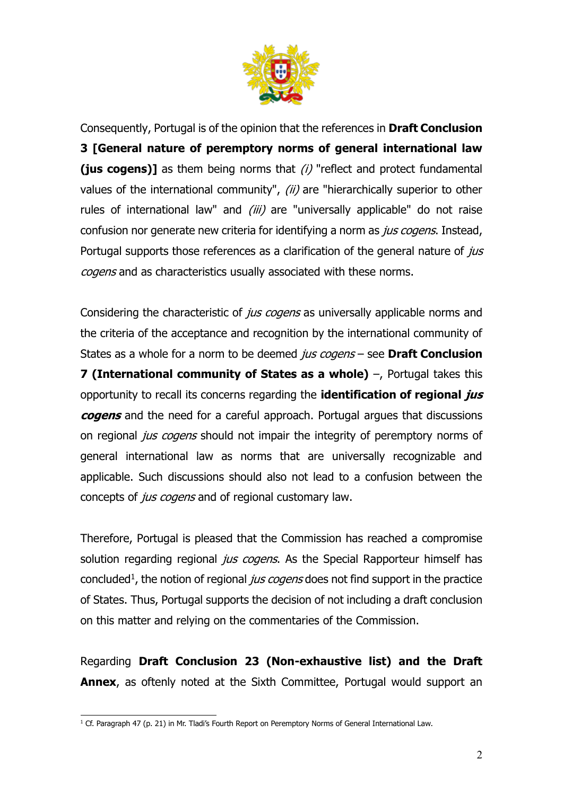

Consequently, Portugal is of the opinion that the references in **Draft Conclusion 3 [General nature of peremptory norms of general international law (jus cogens)]** as them being norms that (i) "reflect and protect fundamental values of the international community", (ii) are "hierarchically superior to other rules of international law" and  $(iii)$  are "universally applicable" do not raise confusion nor generate new criteria for identifying a norm as *jus cogens*. Instead, Portugal supports those references as a clarification of the general nature of *jus* cogens and as characteristics usually associated with these norms.

Considering the characteristic of *jus cogens* as universally applicable norms and the criteria of the acceptance and recognition by the international community of States as a whole for a norm to be deemed jus cogens – see **Draft Conclusion 7 (International community of States as a whole)** –, Portugal takes this opportunity to recall its concerns regarding the **identification of regional jus cogens** and the need for a careful approach. Portugal argues that discussions on regional *jus cogens* should not impair the integrity of peremptory norms of general international law as norms that are universally recognizable and applicable. Such discussions should also not lead to a confusion between the concepts of *jus cogens* and of regional customary law.

Therefore, Portugal is pleased that the Commission has reached a compromise solution regarding regional jus cogens. As the Special Rapporteur himself has concluded<sup>1</sup>, the notion of regional *jus cogens* does not find support in the practice of States. Thus, Portugal supports the decision of not including a draft conclusion on this matter and relying on the commentaries of the Commission.

Regarding **Draft Conclusion 23 (Non-exhaustive list) and the Draft Annex**, as oftenly noted at the Sixth Committee, Portugal would support an

 $\overline{a}$ <sup>1</sup> Cf. Paragraph 47 (p. 21) in Mr. Tladi's Fourth Report on Peremptory Norms of General International Law.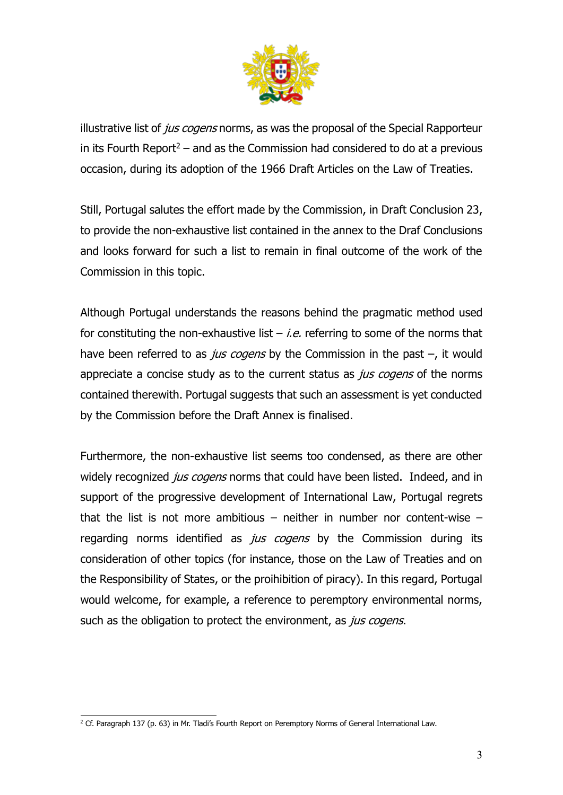

illustrative list of *jus cogens* norms, as was the proposal of the Special Rapporteur in its Fourth Report<sup>2</sup> – and as the Commission had considered to do at a previous occasion, during its adoption of the 1966 Draft Articles on the Law of Treaties.

Still, Portugal salutes the effort made by the Commission, in Draft Conclusion 23, to provide the non-exhaustive list contained in the annex to the Draf Conclusions and looks forward for such a list to remain in final outcome of the work of the Commission in this topic.

Although Portugal understands the reasons behind the pragmatic method used for constituting the non-exhaustive list  $-$  *i.e.* referring to some of the norms that have been referred to as *jus cogens* by the Commission in the past  $-$ , it would appreciate a concise study as to the current status as *jus cogens* of the norms contained therewith. Portugal suggests that such an assessment is yet conducted by the Commission before the Draft Annex is finalised.

Furthermore, the non-exhaustive list seems too condensed, as there are other widely recognized jus cogens norms that could have been listed. Indeed, and in support of the progressive development of International Law, Portugal regrets that the list is not more ambitious – neither in number nor content-wise – regarding norms identified as *jus cogens* by the Commission during its consideration of other topics (for instance, those on the Law of Treaties and on the Responsibility of States, or the proihibition of piracy). In this regard, Portugal would welcome, for example, a reference to peremptory environmental norms, such as the obligation to protect the environment, as jus cogens.

 $\overline{a}$  $2$  Cf. Paragraph 137 (p. 63) in Mr. Tladi's Fourth Report on Peremptory Norms of General International Law.